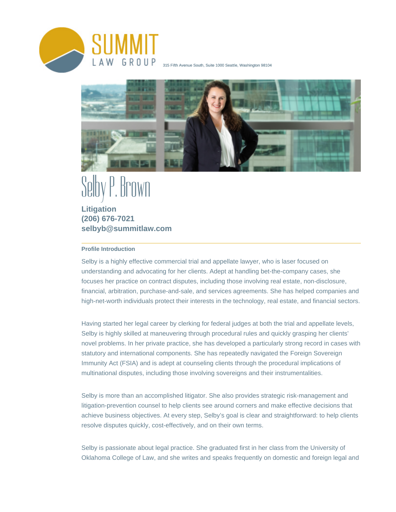

315 Fifth Avenue South, Suite 1000 Seattle, Washington 98104



# Brown

**Litigation (206) 676-7021 selbyb@summitlaw.com**

## **Profile Introduction**

Selby is a highly effective commercial trial and appellate lawyer, who is laser focused on understanding and advocating for her clients. Adept at handling bet-the-company cases, she focuses her practice on contract disputes, including those involving real estate, non-disclosure, financial, arbitration, purchase-and-sale, and services agreements. She has helped companies and high-net-worth individuals protect their interests in the technology, real estate, and financial sectors.

Having started her legal career by clerking for federal judges at both the trial and appellate levels, Selby is highly skilled at maneuvering through procedural rules and quickly grasping her clients' novel problems. In her private practice, she has developed a particularly strong record in cases with statutory and international components. She has repeatedly navigated the Foreign Sovereign Immunity Act (FSIA) and is adept at counseling clients through the procedural implications of multinational disputes, including those involving sovereigns and their instrumentalities.

Selby is more than an accomplished litigator. She also provides strategic risk-management and litigation-prevention counsel to help clients see around corners and make effective decisions that achieve business objectives. At every step, Selby's goal is clear and straightforward: to help clients resolve disputes quickly, cost-effectively, and on their own terms.

Selby is passionate about legal practice. She graduated first in her class from the University of Oklahoma College of Law, and she writes and speaks frequently on domestic and foreign legal and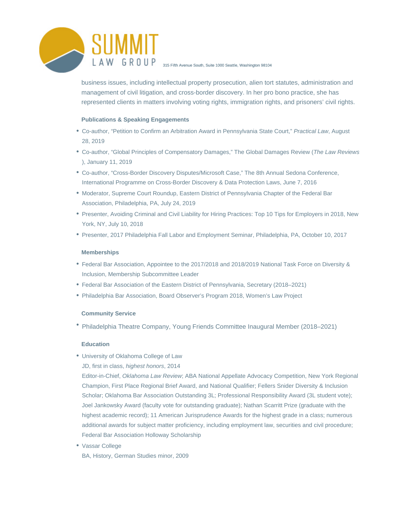

business issues, including intellectual property prosecution, alien tort statutes, administration and management of civil litigation, and cross-border discovery. In her pro bono practice, she has represented clients in matters involving voting rights, immigration rights, and prisoners' civil rights.

### **Publications & Speaking Engagements**

- Co-author, "Petition to Confirm an Arbitration Award in Pennsylvania State Court," Practical Law, August 28, 2019
- Co-author, "Global Principles of Compensatory Damages," The Global Damages Review (The Law Reviews ), January 11, 2019
- Co-author, "Cross-Border Discovery Disputes/Microsoft Case," The 8th Annual Sedona Conference, International Programme on Cross-Border Discovery & Data Protection Laws, June 7, 2016
- Moderator, Supreme Court Roundup, Eastern District of Pennsylvania Chapter of the Federal Bar Association, Philadelphia, PA, July 24, 2019
- Presenter, Avoiding Criminal and Civil Liability for Hiring Practices: Top 10 Tips for Employers in 2018, New York, NY, July 10, 2018
- Presenter, 2017 Philadelphia Fall Labor and Employment Seminar, Philadelphia, PA, October 10, 2017

#### **Memberships**

- Federal Bar Association, Appointee to the 2017/2018 and 2018/2019 National Task Force on Diversity & Inclusion, Membership Subcommittee Leader
- Federal Bar Association of the Eastern District of Pennsylvania, Secretary (2018–2021)
- Philadelphia Bar Association, Board Observer's Program 2018, Women's Law Project

### **Community Service**

Philadelphia Theatre Company, Young Friends Committee Inaugural Member (2018–2021)

### **Education**

- University of Oklahoma College of Law
	- JD, first in class, highest honors, 2014

Editor-in-Chief, Oklahoma Law Review; ABA National Appellate Advocacy Competition, New York Regional Champion, First Place Regional Brief Award, and National Qualifier; Fellers Snider Diversity & Inclusion Scholar; Oklahoma Bar Association Outstanding 3L; Professional Responsibility Award (3L student vote); Joel Jankowsky Award (faculty vote for outstanding graduate); Nathan Scarritt Prize (graduate with the highest academic record); 11 American Jurisprudence Awards for the highest grade in a class; numerous additional awards for subject matter proficiency, including employment law, securities and civil procedure; Federal Bar Association Holloway Scholarship

Vassar College BA, History, German Studies minor, 2009